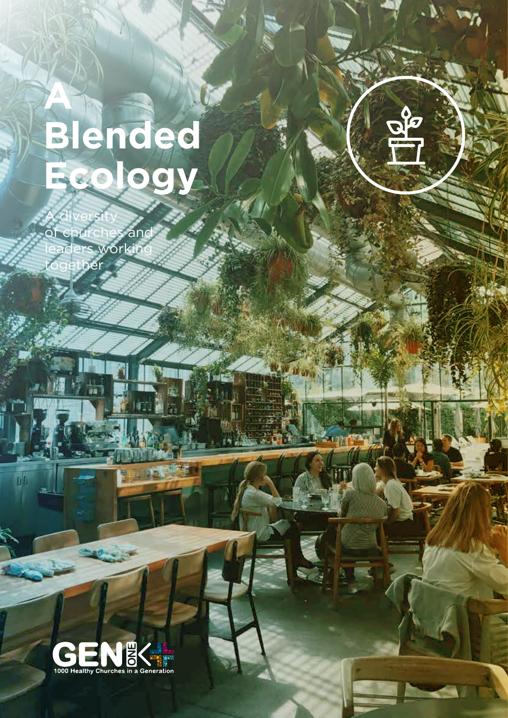# **A Blended Ecology**

A diversity of churches and workin together



 $\overline{b}$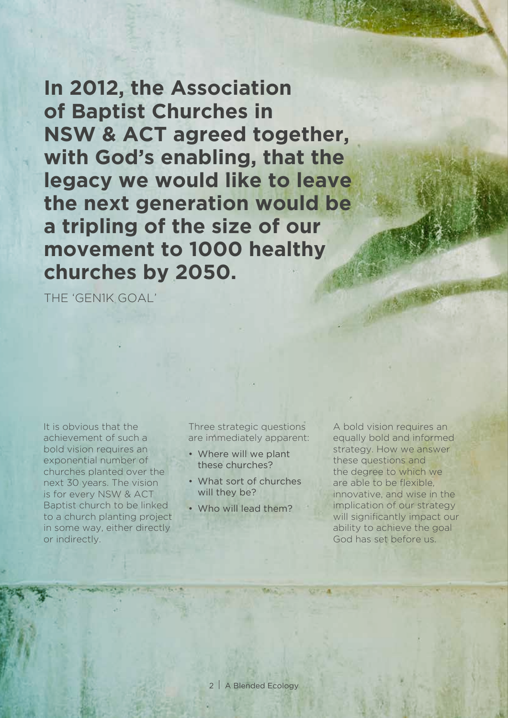**In 2012, the Association of Baptist Churches in NSW & ACT agreed together, with God's enabling, that the legacy we would like to leave the next generation would be a tripling of the size of our movement to 1000 healthy churches by 2050.**

THE 'GEN1K GOAL'

It is obvious that the achievement of such a bold vision requires an exponential number of churches planted over the next 30 years. The vision is for every NSW & ACT Baptist church to be linked to a church planting project in some way, either directly or indirectly.

Three strategic questions are immediately apparent:

- Where will we plant these churches?
- What sort of churches will they be?
- Who will lead them?

A bold vision requires an equally bold and informed strategy. How we answer these questions and the degree to which we are able to be flexible, innovative, and wise in the implication of our strategy will significantly impact our ability to achieve the goal God has set before us.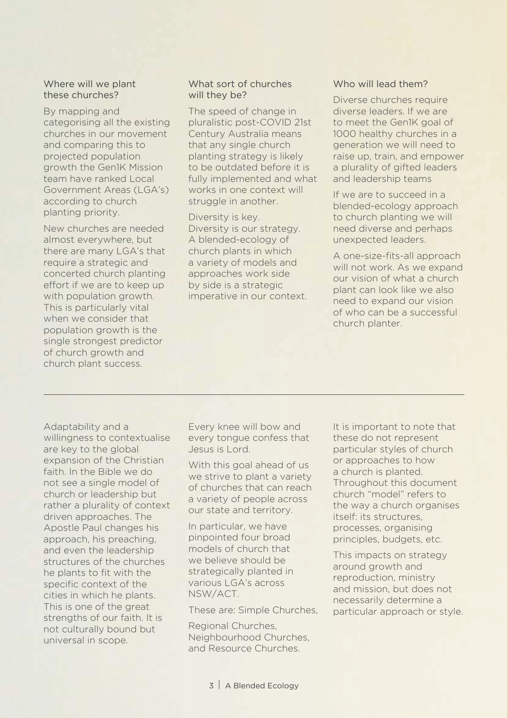#### Where will we plant these churches?

By mapping and categorising all the existing churches in our movement and comparing this to projected population growth the Gen1K Mission team have ranked Local Government Areas (LGA's) according to church planting priority.

New churches are needed almost everywhere, but there are many LGA's that require a strategic and concerted church planting effort if we are to keep up with population growth. This is particularly vital when we consider that population growth is the single strongest predictor of church growth and church plant success.

#### What sort of churches will they be?

The speed of change in pluralistic post-COVID 21st Century Australia means that any single church planting strategy is likely to be outdated before it is fully implemented and what works in one context will struggle in another.

Diversity is key. Diversity is our strategy. A blended-ecology of church plants in which a variety of models and approaches work side by side is a strategic imperative in our context.

#### Who will lead them?

Diverse churches require diverse leaders. If we are to meet the Gen1K goal of 1000 healthy churches in a generation we will need to raise up, train, and empower a plurality of gifted leaders and leadership teams

If we are to succeed in a blended-ecology approach to church planting we will need diverse and perhaps unexpected leaders.

A one-size-fits-all approach will not work. As we expand our vision of what a church plant can look like we also need to expand our vision of who can be a successful church planter.

Adaptability and a willingness to contextualise are key to the global expansion of the Christian faith. In the Bible we do not see a single model of church or leadership but rather a plurality of context driven approaches. The Apostle Paul changes his approach, his preaching, and even the leadership structures of the churches he plants to fit with the specific context of the cities in which he plants. This is one of the great strengths of our faith. It is not culturally bound but universal in scope.

Every knee will bow and every tongue confess that Jesus is Lord.

With this goal ahead of us we strive to plant a variety of churches that can reach a variety of people across our state and territory.

In particular, we have pinpointed four broad models of church that we believe should be strategically planted in various LGA's across NSW/ACT.

These are: Simple Churches,

Regional Churches, Neighbourhood Churches, and Resource Churches.

It is important to note that these do not represent particular styles of church or approaches to how a church is planted. Throughout this document church "model" refers to the way a church organises itself: its structures, processes, organising principles, budgets, etc.

This impacts on strategy around growth and reproduction, ministry and mission, but does not necessarily determine a particular approach or style.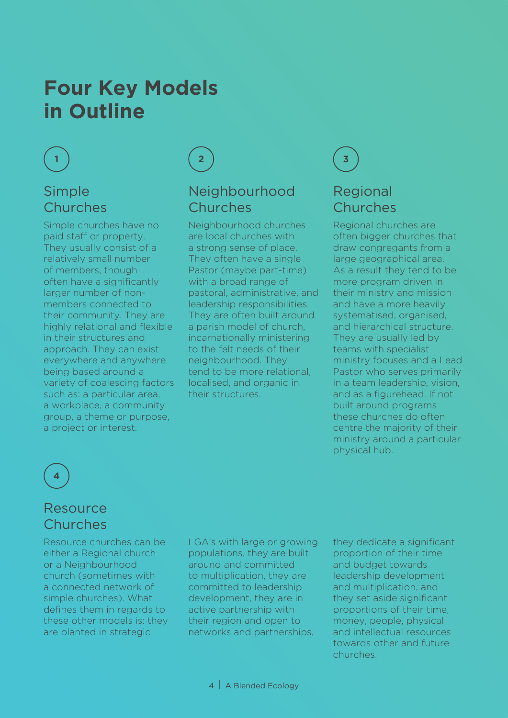## **Four Key Models in Outline**



### Simple Churches

Simple churches have no paid staff or property. They usually consist of a relatively small number of members, though often have a significantly larger number of nonmembers connected to their community. They are highly relational and flexible in their structures and approach. They can exist everywhere and anywhere being based around a variety of coalescing factors such as: a particular area, a workplace, a community group, a theme or purpose, a project or interest.



### Neighbourhood Churches

Neighbourhood churches are local churches with a strong sense of place. They often have a single Pastor (maybe part-time) with a broad range of pastoral, administrative, and leadership responsibilities. They are often built around a parish model of church, incarnationally ministering to the felt needs of their neighbourhood. They tend to be more relational, localised, and organic in their structures.



## Regional Churches

Regional churches are often bigger churches that draw congregants from a large geographical area. As a result they tend to be more program driven in their ministry and mission and have a more heavily systematised, organised, and hierarchical structure. They are usually led by teams with specialist ministry focuses and a Lead Pastor who serves primarily in a team leadership, vision, and as a figurehead. If not built around programs these churches do often centre the majority of their ministry around a particular physical hub.



### Resource Churches

Resource churches can be either a Regional church or a Neighbourhood church (sometimes with a connected network of simple churches). What defines them in regards to these other models is: they are planted in strategic

LGA's with large or growing populations, they are built around and committed to multiplication, they are committed to leadership development, they are in active partnership with their region and open to networks and partnerships,

they dedicate a significant proportion of their time and budget towards leadership development and multiplication, and they set aside significant proportions of their time, money, people, physical and intellectual resources towards other and future churches.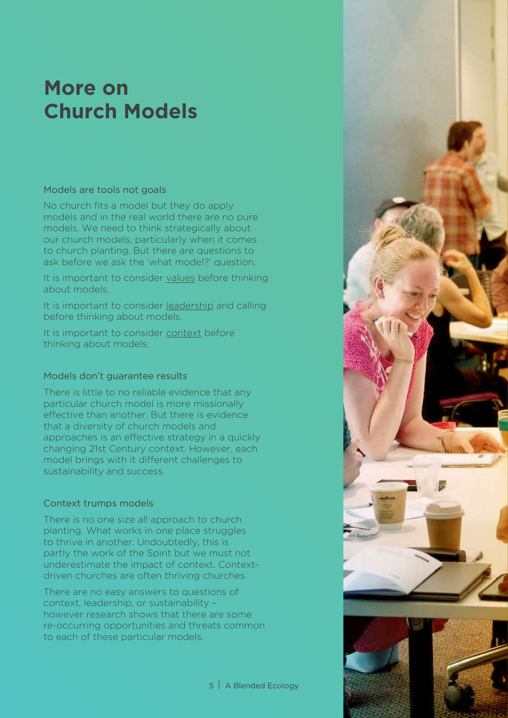## **More on Church Models**

#### Models are tools not goals

No church fits a model but they do apply models and in the real world there are no pure models. We need to think strategically about our church models, particularly when it comes to church planting. But there are questions to ask before we ask the 'what model?' question.

It is important to consider values before thinking about models.

It is important to consider leadership and calling before thinking about models.

It is important to consider context before thinking about models.

#### Models don't guarantee results

There is little to no reliable evidence that any particular church model is more missionally effective than another. But there is evidence that a diversity of church models and approaches is an effective strategy in a quickly changing 21st Century context. However, each model brings with it different challenges to sustainability and success.

#### Context trumps models

There is no one size all approach to church planting. What works in one place struggles to thrive in another. Undoubtedly, this is partly the work of the Spirit but we must not underestimate the impact of context. Contextdriven churches are often thriving churches.

There are no easy answers to questions of context, leadership, or sustainability – however research shows that there are some re-occurring opportunities and threats common to each of these particular models.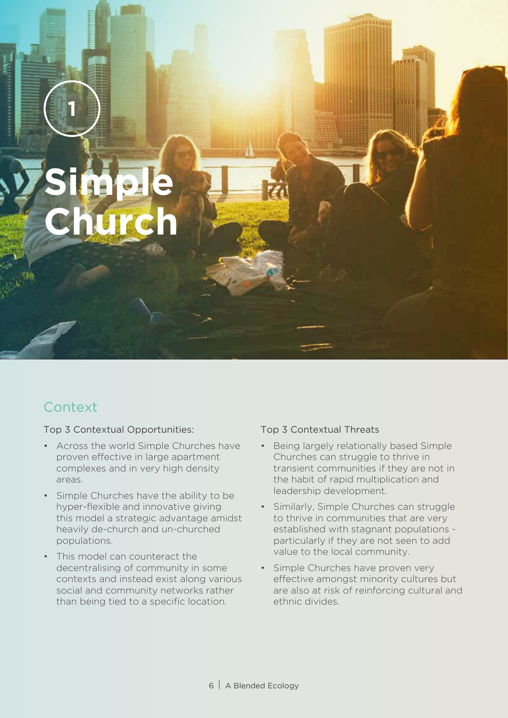**Simple Church**

**1**

## **Context**

Top 3 Contextual Opportunities:

- Across the world Simple Churches have proven effective in large apartment complexes and in very high density areas.
- Simple Churches have the ability to be hyper-flexible and innovative giving this model a strategic advantage amidst heavily de-church and un-churched populations.
- This model can counteract the decentralising of community in some contexts and instead exist along various social and community networks rather than being tied to a specific location.

- Being largely relationally based Simple Churches can struggle to thrive in transient communities if they are not in the habit of rapid multiplication and leadership development.
- Similarly, Simple Churches can struggle to thrive in communities that are very established with stagnant populations particularly if they are not seen to add value to the local community.
- Simple Churches have proven very effective amongst minority cultures but are also at risk of reinforcing cultural and ethnic divides.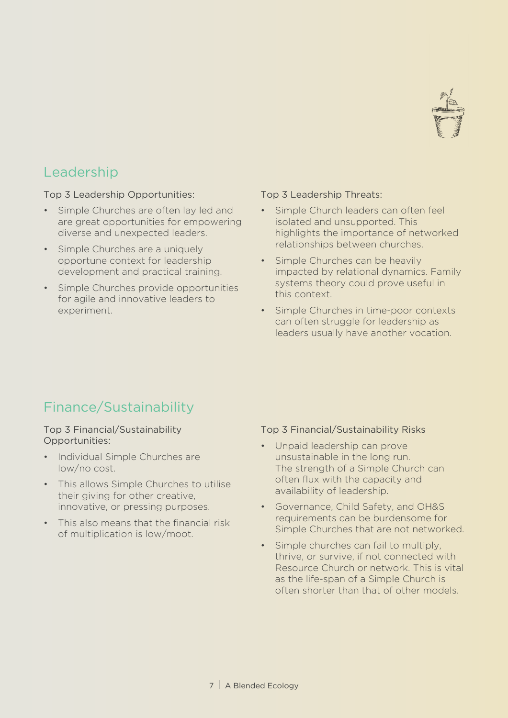

#### Top 3 Leadership Opportunities:

- Simple Churches are often lay led and are great opportunities for empowering diverse and unexpected leaders.
- Simple Churches are a uniquely opportune context for leadership development and practical training.
- Simple Churches provide opportunities for agile and innovative leaders to experiment.

#### Top 3 Leadership Threats:

- Simple Church leaders can often feel isolated and unsupported. This highlights the importance of networked relationships between churches.
- Simple Churches can be heavily impacted by relational dynamics. Family systems theory could prove useful in this context.
- Simple Churches in time-poor contexts can often struggle for leadership as leaders usually have another vocation.

## Finance/Sustainability

#### Top 3 Financial/Sustainability Opportunities:

- Individual Simple Churches are low/no cost.
- This allows Simple Churches to utilise their giving for other creative, innovative, or pressing purposes.
- This also means that the financial risk of multiplication is low/moot.

- Unpaid leadership can prove unsustainable in the long run. The strength of a Simple Church can often flux with the capacity and availability of leadership.
- Governance, Child Safety, and OH&S requirements can be burdensome for Simple Churches that are not networked.
- Simple churches can fail to multiply, thrive, or survive, if not connected with Resource Church or network. This is vital as the life-span of a Simple Church is often shorter than that of other models.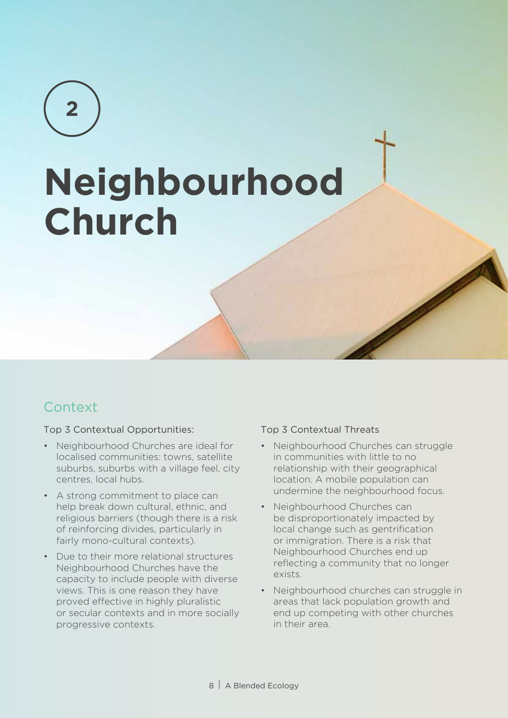**2**

# **Neighbourhood Church**

## **Context**

#### Top 3 Contextual Opportunities:

- Neighbourhood Churches are ideal for localised communities: towns, satellite suburbs, suburbs with a village feel, city centres, local hubs.
- A strong commitment to place can help break down cultural, ethnic, and religious barriers (though there is a risk of reinforcing divides, particularly in fairly mono-cultural contexts).
- Due to their more relational structures Neighbourhood Churches have the capacity to include people with diverse views. This is one reason they have proved effective in highly pluralistic or secular contexts and in more socially progressive contexts.

- Neighbourhood Churches can struggle in communities with little to no relationship with their geographical location. A mobile population can undermine the neighbourhood focus.
- Neighbourhood Churches can be disproportionately impacted by local change such as gentrification or immigration. There is a risk that Neighbourhood Churches end up reflecting a community that no longer exists.
- Neighbourhood churches can struggle in areas that lack population growth and end up competing with other churches in their area.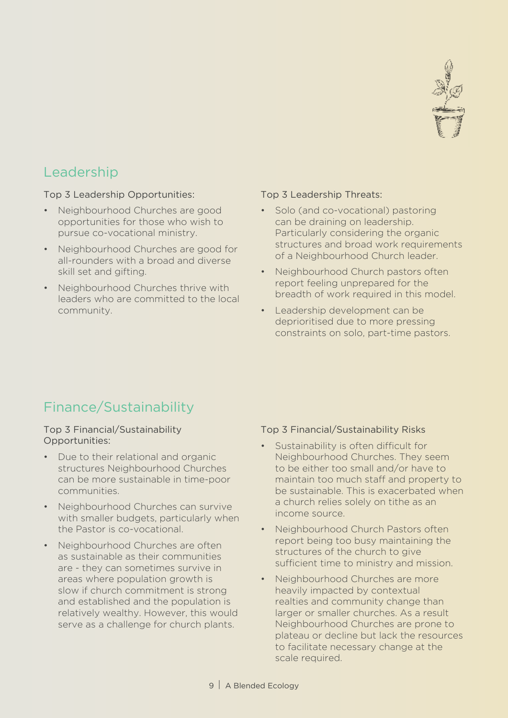

#### Top 3 Leadership Opportunities:

- Neighbourhood Churches are good opportunities for those who wish to pursue co-vocational ministry.
- Neighbourhood Churches are good for all-rounders with a broad and diverse skill set and gifting.
- Neighbourhood Churches thrive with leaders who are committed to the local community.

#### Top 3 Leadership Threats:

- Solo (and co-vocational) pastoring can be draining on leadership. Particularly considering the organic structures and broad work requirements of a Neighbourhood Church leader.
- Neighbourhood Church pastors often report feeling unprepared for the breadth of work required in this model.
- Leadership development can be deprioritised due to more pressing constraints on solo, part-time pastors.

## Finance/Sustainability

#### Top 3 Financial/Sustainability Opportunities:

- Due to their relational and organic structures Neighbourhood Churches can be more sustainable in time-poor communities.
- Neighbourhood Churches can survive with smaller budgets, particularly when the Pastor is co-vocational.
- Neighbourhood Churches are often as sustainable as their communities are - they can sometimes survive in areas where population growth is slow if church commitment is strong and established and the population is relatively wealthy. However, this would serve as a challenge for church plants.

- Sustainability is often difficult for Neighbourhood Churches. They seem to be either too small and/or have to maintain too much staff and property to be sustainable. This is exacerbated when a church relies solely on tithe as an income source.
- Neighbourhood Church Pastors often report being too busy maintaining the structures of the church to give sufficient time to ministry and mission.
- Neighbourhood Churches are more heavily impacted by contextual realties and community change than larger or smaller churches. As a result Neighbourhood Churches are prone to plateau or decline but lack the resources to facilitate necessary change at the scale required.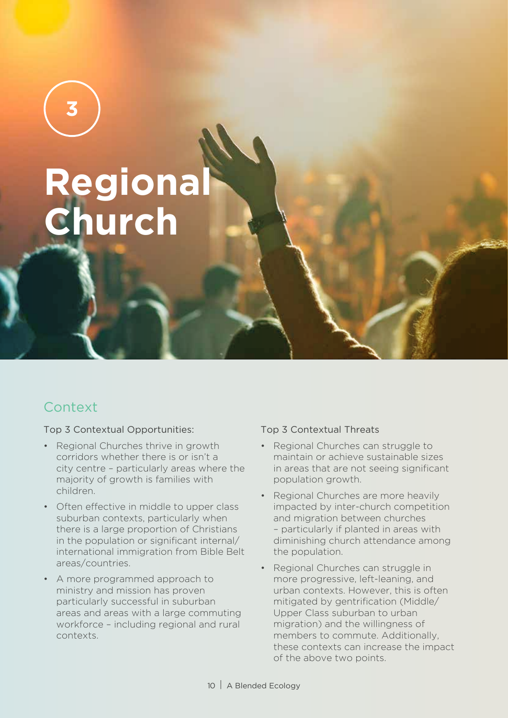# **Regional Church**

## **Context**

**3**

#### Top 3 Contextual Opportunities:

- Regional Churches thrive in growth corridors whether there is or isn't a city centre – particularly areas where the majority of growth is families with children.
- Often effective in middle to upper class suburban contexts, particularly when there is a large proportion of Christians in the population or significant internal/ international immigration from Bible Belt areas/countries.
- A more programmed approach to ministry and mission has proven particularly successful in suburban areas and areas with a large commuting workforce – including regional and rural contexts.

- Regional Churches can struggle to maintain or achieve sustainable sizes in areas that are not seeing significant population growth.
- Regional Churches are more heavily impacted by inter-church competition and migration between churches – particularly if planted in areas with diminishing church attendance among the population.
- Regional Churches can struggle in more progressive, left-leaning, and urban contexts. However, this is often mitigated by gentrification (Middle/ Upper Class suburban to urban migration) and the willingness of members to commute. Additionally, these contexts can increase the impact of the above two points.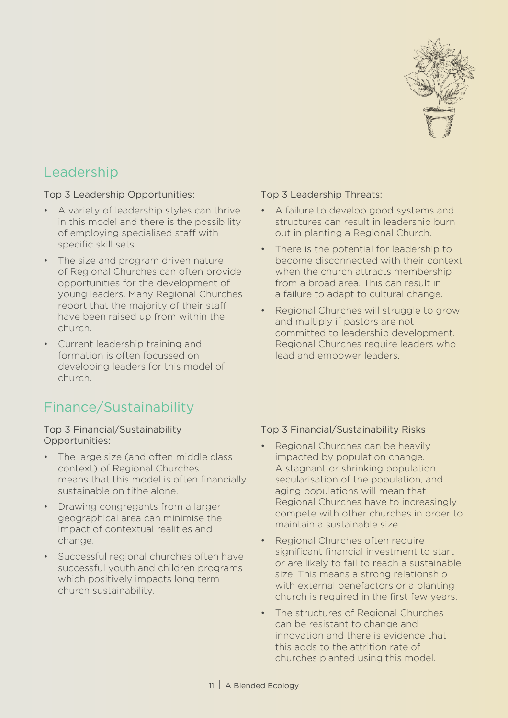

#### Top 3 Leadership Opportunities:

- A variety of leadership styles can thrive in this model and there is the possibility of employing specialised staff with specific skill sets.
- The size and program driven nature of Regional Churches can often provide opportunities for the development of young leaders. Many Regional Churches report that the majority of their staff have been raised up from within the church.
- Current leadership training and formation is often focussed on developing leaders for this model of church.

## Finance/Sustainability

#### Top 3 Financial/Sustainability Opportunities:

- The large size (and often middle class context) of Regional Churches means that this model is often financially sustainable on tithe alone.
- Drawing congregants from a larger geographical area can minimise the impact of contextual realities and change.
- Successful regional churches often have successful youth and children programs which positively impacts long term church sustainability.

#### Top 3 Leadership Threats:

- A failure to develop good systems and structures can result in leadership burn out in planting a Regional Church.
- There is the potential for leadership to become disconnected with their context when the church attracts membership from a broad area. This can result in a failure to adapt to cultural change.
- Regional Churches will struggle to grow and multiply if pastors are not committed to leadership development. Regional Churches require leaders who lead and empower leaders.

- Regional Churches can be heavily impacted by population change. A stagnant or shrinking population, secularisation of the population, and aging populations will mean that Regional Churches have to increasingly compete with other churches in order to maintain a sustainable size.
- Regional Churches often require significant financial investment to start or are likely to fail to reach a sustainable size. This means a strong relationship with external benefactors or a planting church is required in the first few years.
- The structures of Regional Churches can be resistant to change and innovation and there is evidence that this adds to the attrition rate of churches planted using this model.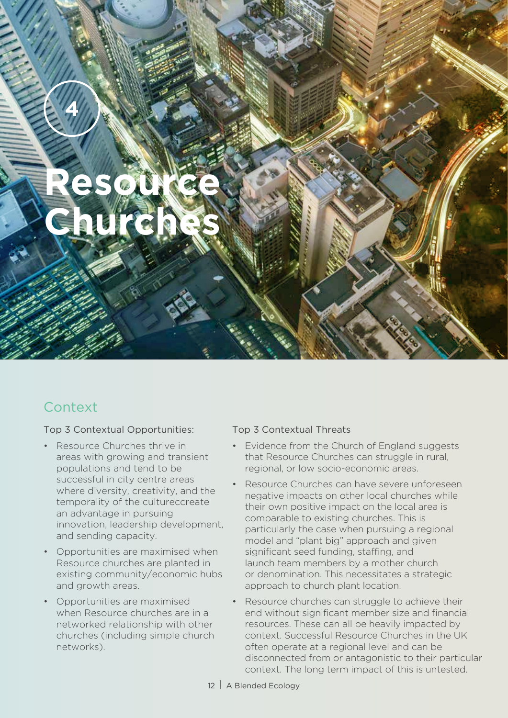**Resource Churches**

## **Context**

**4**

Top 3 Contextual Opportunities:

- Resource Churches thrive in areas with growing and transient populations and tend to be successful in city centre areas where diversity, creativity, and the temporality of the cultureccreate an advantage in pursuing innovation, leadership development, and sending capacity.
- Opportunities are maximised when Resource churches are planted in existing community/economic hubs and growth areas.
- Opportunities are maximised when Resource churches are in a networked relationship with other churches (including simple church networks).

- Evidence from the Church of England suggests that Resource Churches can struggle in rural, regional, or low socio-economic areas.
- Resource Churches can have severe unforeseen negative impacts on other local churches while their own positive impact on the local area is comparable to existing churches. This is particularly the case when pursuing a regional model and "plant big" approach and given significant seed funding, staffing, and launch team members by a mother church or denomination. This necessitates a strategic approach to church plant location.
- Resource churches can struggle to achieve their end without significant member size and financial resources. These can all be heavily impacted by context. Successful Resource Churches in the UK often operate at a regional level and can be disconnected from or antagonistic to their particular context. The long term impact of this is untested.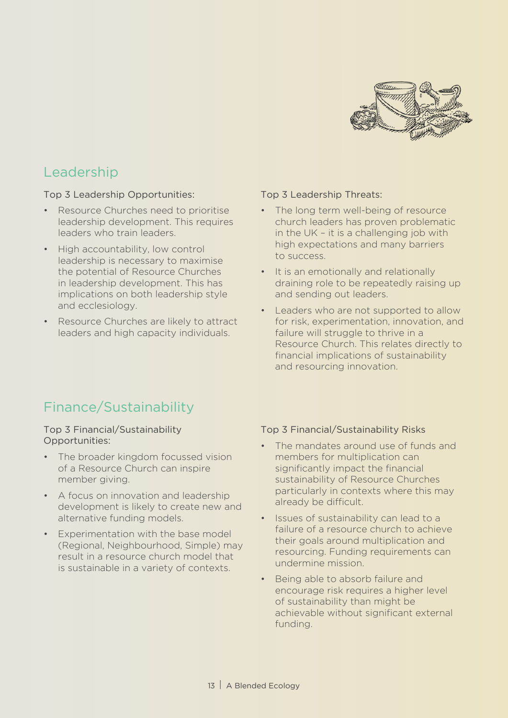

Top 3 Leadership Opportunities:

- Resource Churches need to prioritise leadership development. This requires leaders who train leaders.
- High accountability, low control leadership is necessary to maximise the potential of Resource Churches in leadership development. This has implications on both leadership style and ecclesiology.
- Resource Churches are likely to attract leaders and high capacity individuals.

#### Top 3 Leadership Threats:

- The long term well-being of resource church leaders has proven problematic in the UK – it is a challenging job with high expectations and many barriers to success.
- It is an emotionally and relationally draining role to be repeatedly raising up and sending out leaders.
- Leaders who are not supported to allow for risk, experimentation, innovation, and failure will struggle to thrive in a Resource Church. This relates directly to financial implications of sustainability and resourcing innovation.

## Finance/Sustainability

#### Top 3 Financial/Sustainability Opportunities:

- The broader kingdom focussed vision of a Resource Church can inspire member giving.
- A focus on innovation and leadership development is likely to create new and alternative funding models.
- Experimentation with the base model (Regional, Neighbourhood, Simple) may result in a resource church model that is sustainable in a variety of contexts.

- The mandates around use of funds and members for multiplication can significantly impact the financial sustainability of Resource Churches particularly in contexts where this may already be difficult.
- Issues of sustainability can lead to a failure of a resource church to achieve their goals around multiplication and resourcing. Funding requirements can undermine mission.
- Being able to absorb failure and encourage risk requires a higher level of sustainability than might be achievable without significant external funding.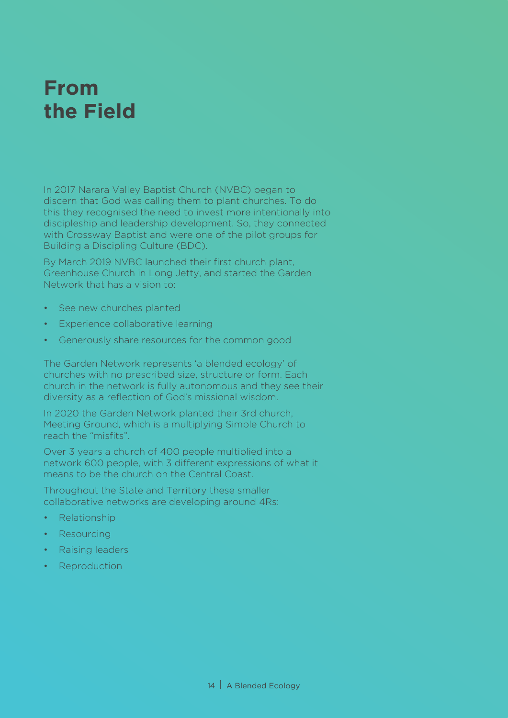## **From the Field**

In 2017 Narara Valley Baptist Church (NVBC) began to discern that God was calling them to plant churches. To do this they recognised the need to invest more intentionally into discipleship and leadership development. So, they connected with Crossway Baptist and were one of the pilot groups for Building a Discipling Culture (BDC).

By March 2019 NVBC launched their first church plant, Greenhouse Church in Long Jetty, and started the Garden Network that has a vision to:

- See new churches planted
- Experience collaborative learning
- Generously share resources for the common good

The Garden Network represents 'a blended ecology' of churches with no prescribed size, structure or form. Each church in the network is fully autonomous and they see their diversity as a reflection of God's missional wisdom.

In 2020 the Garden Network planted their 3rd church, Meeting Ground, which is a multiplying Simple Church to reach the "misfits".

Over 3 years a church of 400 people multiplied into a network 600 people, with 3 different expressions of what it means to be the church on the Central Coast.

Throughout the State and Territory these smaller collaborative networks are developing around 4Rs:

- Relationship
- **Resourcing**
- Raising leaders
- Reproduction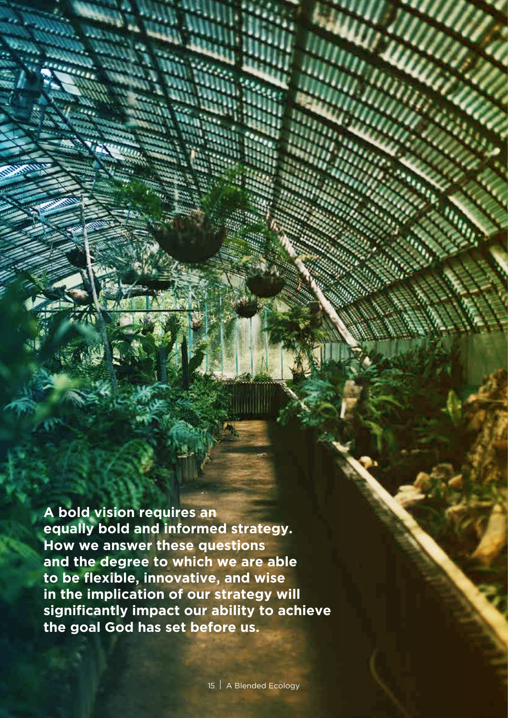**A bold vision requires an equally bold and informed strategy. How we answer these questions and the degree to which we are able to be flexible, innovative, and wise in the implication of our strategy will significantly impact our ability to achieve the goal God has set before us.**